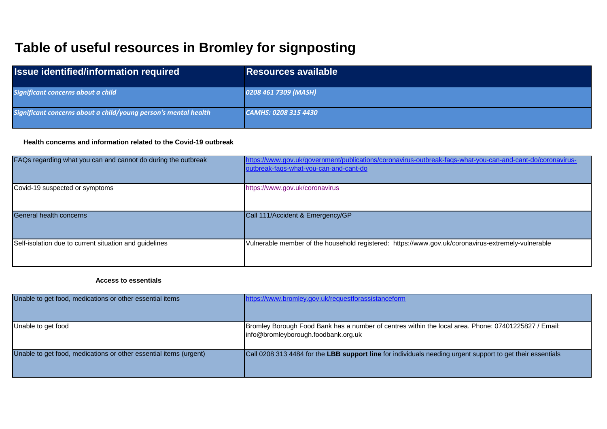# **Table of useful resources in Bromley for signposting**

| <b>Issue identified/information required</b>                    | <b>Resources available</b> |
|-----------------------------------------------------------------|----------------------------|
| Significant concerns about a child                              | 0208 461 7309 (MASH)       |
| Significant concerns about a child/young person's mental health | CAMHS: 0208 315 4430       |

### **Health concerns and information related to the Covid-19 outbreak**

| FAQs regarding what you can and cannot do during the outbreak | https://www.gov.uk/government/publications/coronavirus-outbreak-fags-what-you-can-and-cant-do/coronavirus-<br>outbreak-fags-what-you-can-and-cant-do |
|---------------------------------------------------------------|------------------------------------------------------------------------------------------------------------------------------------------------------|
| Covid-19 suspected or symptoms                                | https://www.gov.uk/coronavirus                                                                                                                       |
| General health concerns                                       | Call 111/Accident & Emergency/GP                                                                                                                     |
| Self-isolation due to current situation and guidelines        | Vulnerable member of the household registered: https://www.gov.uk/coronavirus-extremely-vulnerable                                                   |

#### **Access to essentials**

| Unable to get food, medications or other essential items          | https://www.bromley.gov.uk/requestforassistanceform                                                                                         |
|-------------------------------------------------------------------|---------------------------------------------------------------------------------------------------------------------------------------------|
| Unable to get food                                                | Bromley Borough Food Bank has a number of centres within the local area. Phone: 07401225827 / Email:<br>info@bromleyborough.foodbank.org.uk |
| Unable to get food, medications or other essential items (urgent) | Call 0208 313 4484 for the LBB support line for individuals needing urgent support to get their essentials                                  |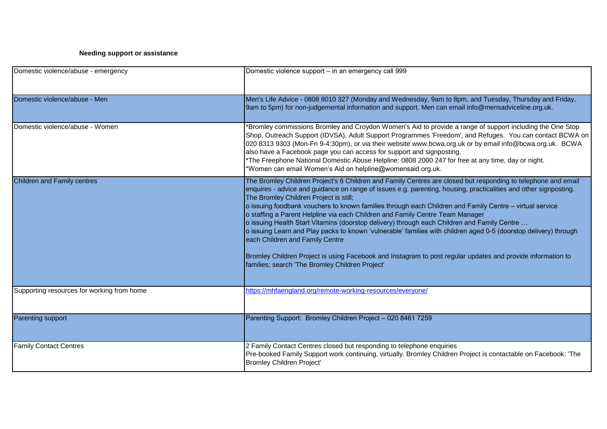## **Needing support or assistance**

| Domestic violence/abuse - emergency        | Domestic violence support - in an emergency call 999                                                                                                                                                                                                                                                                                                                                                                                                                                                                                                                                                                                                                                                                                                                                                                                                                                            |
|--------------------------------------------|-------------------------------------------------------------------------------------------------------------------------------------------------------------------------------------------------------------------------------------------------------------------------------------------------------------------------------------------------------------------------------------------------------------------------------------------------------------------------------------------------------------------------------------------------------------------------------------------------------------------------------------------------------------------------------------------------------------------------------------------------------------------------------------------------------------------------------------------------------------------------------------------------|
| Domestic violence/abuse - Men              | Men's Life Advice - 0808 8010 327 (Monday and Wednesday, 9am to 8pm, and Tuesday, Thursday and Friday,<br>9am to 5pm) for non-judgemental information and support. Men can email info@mensadviceline.org.uk.                                                                                                                                                                                                                                                                                                                                                                                                                                                                                                                                                                                                                                                                                    |
| Domestic violence/abuse - Women            | *Bromley commissions Bromley and Croydon Women's Aid to provide a range of support including the One Stop<br>Shop, Outreach Support (IDVSA), Adult Support Programmes 'Freedom', and Refuges. You can contact BCWA on<br>020 8313 9303 (Mon-Fri 9-4:30pm), or via their website www.bcwa.org.uk or by email info@bcwa.org.uk. BCWA<br>also have a Facebook page you can access for support and signposting.<br>*The Freephone National Domestic Abuse Helpline: 0808 2000 247 for free at any time, day or night.<br>*Women can email Women's Aid on helpline@womensaid.org.uk.                                                                                                                                                                                                                                                                                                                 |
| <b>Children and Family centres</b>         | The Bromley Children Project's 6 Children and Family Centres are closed but responding to telephone and email<br>enquires - advice and guidance on range of issues e.g. parenting, housing, practicalities and other signposting.<br>The Bromley Children Project is still;<br>o issuing foodbank vouchers to known families through each Children and Family Centre - virtual service<br>o staffing a Parent Helpline via each Children and Family Centre Team Manager<br>o issuing Health Start Vitamins (doorstop delivery) through each Children and Family Centre<br>o issuing Learn and Play packs to known 'vulnerable' families with children aged 0-5 (doorstop delivery) through<br>each Children and Family Centre<br>Bromley Children Project is using Facebook and Instagram to post regular updates and provide information to<br>families; search 'The Bromley Children Project' |
| Supporting resources for working from home | https://mhfaengland.org/remote-working-resources/everyone/                                                                                                                                                                                                                                                                                                                                                                                                                                                                                                                                                                                                                                                                                                                                                                                                                                      |
| <b>Parenting support</b>                   | Parenting Support: Bromley Children Project - 020 8461 7259                                                                                                                                                                                                                                                                                                                                                                                                                                                                                                                                                                                                                                                                                                                                                                                                                                     |
| <b>Family Contact Centres</b>              | 2 Family Contact Centres closed but responding to telephone enquiries<br>Pre-booked Family Support work continuing, virtually. Bromley Children Project is contactable on Facebook: 'The<br>Bromley Children Project'                                                                                                                                                                                                                                                                                                                                                                                                                                                                                                                                                                                                                                                                           |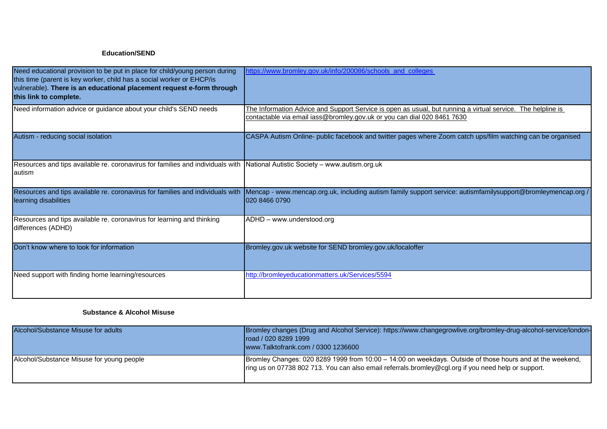#### **Education/SEND**

| Need educational provision to be put in place for child/young person during<br>this time (parent is key worker, child has a social worker or EHCP/is<br>vulnerable). There is an educational placement request e-form through<br>this link to complete. | https://www.bromley.gov.uk/info/200086/schools and colleges                                                                                                                            |
|---------------------------------------------------------------------------------------------------------------------------------------------------------------------------------------------------------------------------------------------------------|----------------------------------------------------------------------------------------------------------------------------------------------------------------------------------------|
| Need information advice or guidance about your child's SEND needs                                                                                                                                                                                       | The Information Advice and Support Service is open as usual, but running a virtual service. The helpline is<br>contactable via email iass@bromley.gov.uk or you can dial 020 8461 7630 |
| Autism - reducing social isolation                                                                                                                                                                                                                      | CASPA Autism Online- public facebook and twitter pages where Zoom catch ups/film watching can be organised                                                                             |
| Resources and tips available re. coronavirus for families and individuals with National Autistic Society – www.autism.org.uk<br>lautism                                                                                                                 |                                                                                                                                                                                        |
| Resources and tips available re. coronavirus for families and individuals with<br>learning disabilities                                                                                                                                                 | Mencap - www.mencap.org.uk, including autism family support service: autismfamilysupport@bromleymencap.org /<br>020 8466 0790                                                          |
| Resources and tips available re. coronavirus for learning and thinking<br>differences (ADHD)                                                                                                                                                            | ADHD - www.understood.org                                                                                                                                                              |
| Don't know where to look for information                                                                                                                                                                                                                | Bromley.gov.uk website for SEND bromley.gov.uk/localoffer                                                                                                                              |
| Need support with finding home learning/resources                                                                                                                                                                                                       | http://bromleyeducationmatters.uk/Services/5594                                                                                                                                        |

#### **Substance & Alcohol Misuse**

| Alcohol/Substance Misuse for adults       | Bromley changes (Drug and Alcohol Service): https://www.changegrowlive.org/bromley-drug-alcohol-service/london-<br>road / 020 8289 1999<br>www.Talktofrank.com / 0300 1236600                                      |
|-------------------------------------------|--------------------------------------------------------------------------------------------------------------------------------------------------------------------------------------------------------------------|
| Alcohol/Substance Misuse for young people | [Bromley Changes: 020 8289 1999 from 10:00 - 14:00 on weekdays. Outside of those hours and at the weekend,<br>Iring us on 07738 802 713. You can also email referrals bromley@cgl.org if you need help or support. |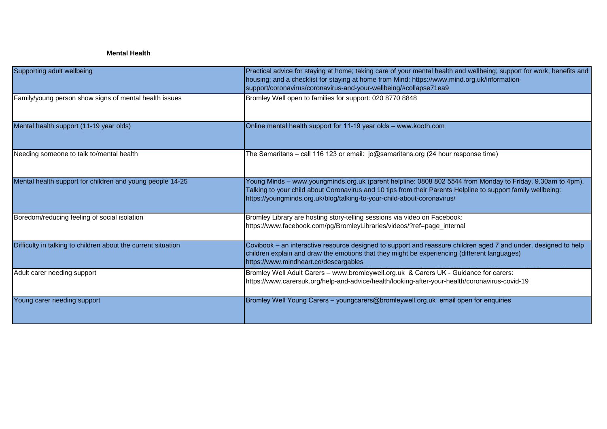## **Mental Health**

| Supporting adult wellbeing                                    | Practical advice for staying at home; taking care of your mental health and wellbeing; support for work, benefits and<br>housing; and a checklist for staying at home from Mind: https://www.mind.org.uk/information-<br>support/coronavirus/coronavirus-and-your-wellbeing/#collapse71ea9            |
|---------------------------------------------------------------|-------------------------------------------------------------------------------------------------------------------------------------------------------------------------------------------------------------------------------------------------------------------------------------------------------|
| Family/young person show signs of mental health issues        | Bromley Well open to families for support: 020 8770 8848                                                                                                                                                                                                                                              |
| Mental health support (11-19 year olds)                       | Online mental health support for 11-19 year olds - www.kooth.com                                                                                                                                                                                                                                      |
| Needing someone to talk to/mental health                      | The Samaritans - call 116 123 or email: jo@samaritans.org (24 hour response time)                                                                                                                                                                                                                     |
| Mental health support for children and young people 14-25     | Young Minds – www.youngminds.org.uk (parent helpline: 0808 802 5544 from Monday to Friday, 9.30am to 4pm).<br>Talking to your child about Coronavirus and 10 tips from their Parents Helpline to support family wellbeing:<br>https://youngminds.org.uk/blog/talking-to-your-child-about-coronavirus/ |
| Boredom/reducing feeling of social isolation                  | Bromley Library are hosting story-telling sessions via video on Facebook:<br>https://www.facebook.com/pg/BromleyLibraries/videos/?ref=page_internal                                                                                                                                                   |
| Difficulty in talking to children about the current situation | Covibook - an interactive resource designed to support and reassure children aged 7 and under, designed to help<br>children explain and draw the emotions that they might be experiencing (different languages)<br>https://www.mindheart.co/descargables                                              |
| Adult carer needing support                                   | Bromley Well Adult Carers - www.bromleywell.org.uk & Carers UK - Guidance for carers:<br>https://www.carersuk.org/help-and-advice/health/looking-after-your-health/coronavirus-covid-19                                                                                                               |
| Young carer needing support                                   | Bromley Well Young Carers - youngcarers@bromleywell.org.uk email open for enquiries                                                                                                                                                                                                                   |